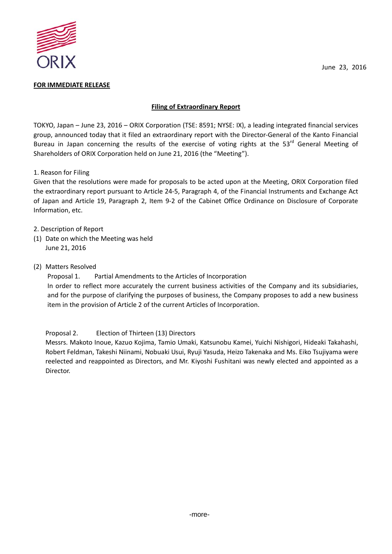

### **FOR IMMEDIATE RELEASE**

## **Filing of Extraordinary Report**

TOKYO, Japan – June 23, 2016 – ORIX Corporation (TSE: 8591; NYSE: IX), a leading integrated financial services group, announced today that it filed an extraordinary report with the Director-General of the Kanto Financial Bureau in Japan concerning the results of the exercise of voting rights at the 53<sup>rd</sup> General Meeting of Shareholders of ORIX Corporation held on June 21, 2016 (the "Meeting").

# 1. Reason for Filing

Given that the resolutions were made for proposals to be acted upon at the Meeting, ORIX Corporation filed the extraordinary report pursuant to Article 24-5, Paragraph 4, of the Financial Instruments and Exchange Act of Japan and Article 19, Paragraph 2, Item 9-2 of the Cabinet Office Ordinance on Disclosure of Corporate Information, etc.

- 2. Description of Report
- (1) Date on which the Meeting was held June 21, 2016
- (2) Matters Resolved

Proposal 1. Partial Amendments to the Articles of Incorporation

In order to reflect more accurately the current business activities of the Company and its subsidiaries, and for the purpose of clarifying the purposes of business, the Company proposes to add a new business item in the provision of Article 2 of the current Articles of Incorporation.

Proposal 2. Election of Thirteen (13) Directors

Messrs. Makoto Inoue, Kazuo Kojima, Tamio Umaki, Katsunobu Kamei, Yuichi Nishigori, Hideaki Takahashi, Robert Feldman, Takeshi Niinami, Nobuaki Usui, Ryuji Yasuda, Heizo Takenaka and Ms. Eiko Tsujiyama were reelected and reappointed as Directors, and Mr. Kiyoshi Fushitani was newly elected and appointed as a Director.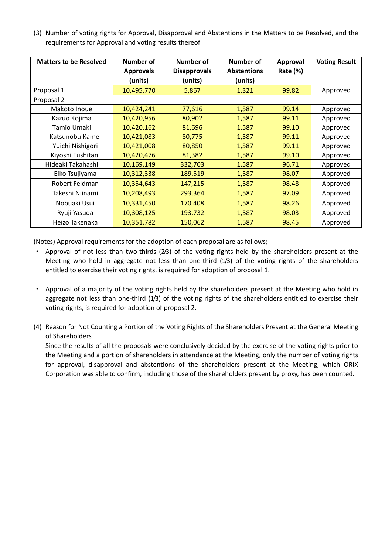(3) Number of voting rights for Approval, Disapproval and Abstentions in the Matters to be Resolved, and the requirements for Approval and voting results thereof

| <b>Matters to be Resolved</b> | Number of        | <b>Number of</b>    | Number of          | <b>Approval</b> | <b>Voting Result</b> |
|-------------------------------|------------------|---------------------|--------------------|-----------------|----------------------|
|                               | <b>Approvals</b> | <b>Disapprovals</b> | <b>Abstentions</b> | Rate (%)        |                      |
|                               | (units)          | (units)             | (units)            |                 |                      |
| Proposal 1                    | 10,495,770       | 5,867               | 1,321              | 99.82           | Approved             |
| Proposal 2                    |                  |                     |                    |                 |                      |
| Makoto Inoue                  | 10,424,241       | 77,616              | 1,587              | 99.14           | Approved             |
| Kazuo Kojima                  | 10,420,956       | 80,902              | 1,587              | 99.11           | Approved             |
| Tamio Umaki                   | 10,420,162       | 81,696              | 1,587              | 99.10           | Approved             |
| Katsunobu Kamei               | 10,421,083       | 80,775              | 1,587              | 99.11           | Approved             |
| Yuichi Nishigori              | 10,421,008       | 80,850              | 1,587              | 99.11           | Approved             |
| Kiyoshi Fushitani             | 10,420,476       | 81,382              | 1,587              | 99.10           | Approved             |
| Hideaki Takahashi             | 10,169,149       | 332,703             | 1,587              | 96.71           | Approved             |
| Eiko Tsujiyama                | 10,312,338       | 189,519             | 1,587              | 98.07           | Approved             |
| Robert Feldman                | 10,354,643       | 147,215             | 1,587              | 98.48           | Approved             |
| Takeshi Niinami               | 10,208,493       | 293,364             | 1,587              | 97.09           | Approved             |
| Nobuaki Usui                  | 10,331,450       | 170,408             | 1,587              | 98.26           | Approved             |
| Ryuji Yasuda                  | 10,308,125       | 193,732             | 1,587              | 98.03           | Approved             |
| Heizo Takenaka                | 10,351,782       | 150,062             | 1,587              | 98.45           | Approved             |

(Notes) Approval requirements for the adoption of each proposal are as follows;

- Approval of not less than two-thirds (2/3) of the voting rights held by the shareholders present at the Meeting who hold in aggregate not less than one-third (1/3) of the voting rights of the shareholders entitled to exercise their voting rights, is required for adoption of proposal 1.
- ・ Approval of a majority of the voting rights held by the shareholders present at the Meeting who hold in aggregate not less than one-third  $(1/3)$  of the voting rights of the shareholders entitled to exercise their voting rights, is required for adoption of proposal 2.
- (4) Reason for Not Counting a Portion of the Voting Rights of the Shareholders Present at the General Meeting of Shareholders

Since the results of all the proposals were conclusively decided by the exercise of the voting rights prior to the Meeting and a portion of shareholders in attendance at the Meeting, only the number of voting rights for approval, disapproval and abstentions of the shareholders present at the Meeting, which ORIX Corporation was able to confirm, including those of the shareholders present by proxy, has been counted.